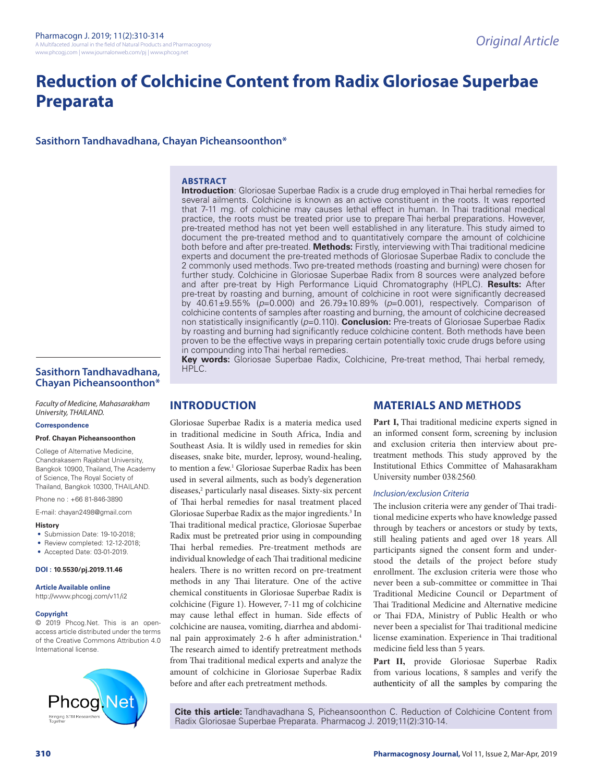# **Reduction of Colchicine Content from Radix Gloriosae Superbae Preparata**

**Sasithorn Tandhavadhana, Chayan Picheansoonthon\***

#### **ABSTRACT**

**Introduction**: Gloriosae Superbae Radix is a crude drug employed in Thai herbal remedies for several ailments. Colchicine is known as an active constituent in the roots. It was reported that 7-11 mg. of colchicine may causes lethal effect in human. In Thai traditional medical practice, the roots must be treated prior use to prepare Thai herbal preparations. However, pre-treated method has not yet been well established in any literature. This study aimed to document the pre-treated method and to quantitatively compare the amount of colchicine both before and after pre-treated. **Methods:** Firstly, interviewing with Thai traditional medicine experts and document the pre-treated methods of Gloriosae Superbae Radix to conclude the 2 commonly used methods. Two pre-treated methods (roasting and burning) were chosen for further study. Colchicine in Gloriosae Superbae Radix from 8 sources were analyzed before and after pre-treat by High Performance Liquid Chromatography (HPLC). **Results:** After pre-treat by roasting and burning, amount of colchicine in root were significantly decreased by 40.61±9.55% (*p*=0.000) and 26.79±10.89% (*p*=0.001), respectively. Comparison of colchicine contents of samples after roasting and burning, the amount of colchicine decreased non statistically insignificantly (*p*=0.110). **Conclusion:** Pre-treats of Gloriosae Superbae Radix by roasting and burning had significantly reduce colchicine content. Both methods have been proven to be the effective ways in preparing certain potentially toxic crude drugs before using in compounding into Thai herbal remedies.

**Key words:** Gloriosae Superbae Radix, Colchicine, Pre-treat method, Thai herbal remedy, HPLC.

# **Sasithorn Tandhavadhana, Chayan Picheansoonthon\***

*Faculty of Medicine, Mahasarakham University, THAILAND.*

#### **Correspondence**

#### **Prof. Chayan Picheansoonthon**

College of Alternative Medicine, Chandrakasem Rajabhat University, Bangkok 10900, Thailand, The Academy of Science, The Royal Society of Thailand, Bangkok 10300, THAILAND.

Phone no : +66 81-846-3890

E-mail: chayan2498@gmail.com

#### **History**

- Submission Date: 19-10-2018;
- Review completed: 12-12-2018:
- Accepted Date: 03-01-2019.

#### **DOI : 10.5530/pj.2019.11.46**

**Article Available online** 

http://www.phcogj.com/v11/i2

#### **Copyright**

© 2019 Phcog.Net. This is an openaccess article distributed under the terms of the Creative Commons Attribution 4.0 International license.



# **INTRODUCTION**

Gloriosae Superbae Radix is a materia medica used in traditional medicine in South Africa, India and Southeast Asia. It is wildly used in remedies for skin diseases, snake bite, murder, leprosy, wound-healing, to mention a few.<sup>1</sup> Gloriosae Superbae Radix has been used in several ailments, such as body's degeneration diseases,<sup>2</sup> particularly nasal diseases. Sixty-six percent of Thai herbal remedies for nasal treatment placed Gloriosae Superbae Radix as the major ingredients.<sup>3</sup> In Thai traditional medical practice, Gloriosae Superbae Radix must be pretreated prior using in compounding Thai herbal remedies. Pre-treatment methods are individual knowledge of each Thai traditional medicine healers. There is no written record on pre-treatment methods in any Thai literature. One of the active chemical constituents in Gloriosae Superbae Radix is colchicine (Figure 1). However, 7-11 mg of colchicine may cause lethal effect in human. Side effects of colchicine are nausea, vomiting, diarrhea and abdominal pain approximately 2-6 h after administration.4 The research aimed to identify pretreatment methods from Thai traditional medical experts and analyze the amount of colchicine in Gloriosae Superbae Radix before and after each pretreatment methods.

# **MATERIALS AND METHODS**

Part I, Thai traditional medicine experts signed in an informed consent form, screening by inclusion and exclusion criteria then interview about pretreatment methods. This study approved by the Institutional Ethics Committee of Mahasarakham University number 038/2560.

#### *Inclusion/exclusion Criteria*

The inclusion criteria were any gender of Thai traditional medicine experts who have knowledge passed through by teachers or ancestors or study by texts, still healing patients and aged over 18 years. All participants signed the consent form and understood the details of the project before study enrollment. The exclusion criteria were those who never been a sub-committee or committee in Thai Traditional Medicine Council or Department of Thai Traditional Medicine and Alternative medicine or Thai FDA, Ministry of Public Health or who never been a specialist for Thai traditional medicine license examination. Experience in Thai traditional medicine field less than 5 years.

**Part II,** provide Gloriosae Superbae Radix from various locations, 8 samples and verify the authenticity of all the samples by comparing the

**Cite this article:** Tandhavadhana S, Picheansoonthon C. Reduction of Colchicine Content from Radix Gloriosae Superbae Preparata. Pharmacog J. 2019;11(2):310-14.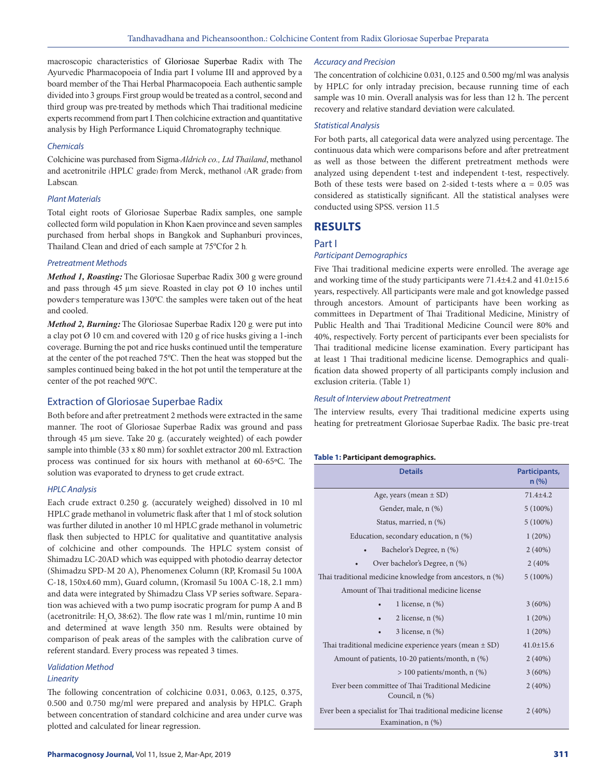macroscopic characteristics of Gloriosae Superbae Radix with The Ayurvedic Pharmacopoeia of India part I volume III and approved by a board member of the Thai Herbal Pharmacopoeia. Each authentic sample divided into 3 groups. First group would be treated as a control, second and third group was pre-treated by methods which Thai traditional medicine experts recommend from part I. Then colchicine extraction and quantitative analysis by High Performance Liquid Chromatography technique.

#### *Chemicals*

Colchicine was purchased from Sigma-*Aldrich co., Ltd Thailand*, methanol and acetronitrile (HPLC grade) from Merck, methanol (AR grade) from Labscan.

#### *Plant Materials*

Total eight roots of Gloriosae Superbae Radix samples, one sample collected form wild population in Khon Kaen province and seven samples purchased from herbal shops in Bangkok and Suphanburi provinces, Thailand. Clean and dried of each sample at 75ºCfor 2 h.

#### *Pretreatment Methods*

*Method 1, Roasting:* The Gloriosae Superbae Radix 300 g were ground and pass through 45  $\mu$ m sieve. Roasted in clay pot  $\varnothing$  10 inches until powder's temperature was 130ºC. the samples were taken out of the heat and cooled.

*Method 2, Burning:* The Gloriosae Superbae Radix 120 g. were put into a clay pot  $\varnothing$  10 cm and covered with 120 g of rice husks giving a 1-inch coverage. Burning the pot and rice husks continued until the temperature at the center of the pot reached 75ºC. Then the heat was stopped but the samples continued being baked in the hot pot until the temperature at the center of the pot reached 90ºC.

# Extraction of Gloriosae Superbae Radix

Both before and after pretreatment 2 methods were extracted in the same manner. The root of Gloriosae Superbae Radix was ground and pass through 45 µm sieve. Take 20 g. (accurately weighted) of each powder sample into thimble (33 x 80 mm) for soxhlet extractor 200 ml. Extraction process was continued for six hours with methanol at 60-65ºC. The solution was evaporated to dryness to get crude extract.

### *HPLC Analysis*

Each crude extract 0.250 g. (accurately weighed) dissolved in 10 ml HPLC grade methanol in volumetric flask after that 1 ml of stock solution was further diluted in another 10 ml HPLC grade methanol in volumetric flask then subjected to HPLC for qualitative and quantitative analysis of colchicine and other compounds. The HPLC system consist of Shimadzu LC-20AD which was equipped with photodio dearray detector (Shimadzu SPD-M 20 A), Phenomenex Column (RP, Kromasil 5u 100A C-18, 150x4.60 mm), Guard column, (Kromasil 5u 100A C-18, 2.1 mm) and data were integrated by Shimadzu Class VP series software. Separation was achieved with a two pump isocratic program for pump A and B (acetronitrile:  $H_2O$ , 38:62). The flow rate was 1 ml/min, runtime 10 min and determined at wave length 350 nm. Results were obtained by comparison of peak areas of the samples with the calibration curve of referent standard. Every process was repeated 3 times.

#### *Validation Method Linearity*

The following concentration of colchicine 0.031, 0.063, 0.125, 0.375, 0.500 and 0.750 mg/ml were prepared and analysis by HPLC. Graph between concentration of standard colchicine and area under curve was plotted and calculated for linear regression.

#### *Accuracy and Precision*

The concentration of colchicine 0.031, 0.125 and 0.500 mg/ml was analysis by HPLC for only intraday precision, because running time of each sample was 10 min. Overall analysis was for less than 12 h. The percent recovery and relative standard deviation were calculated.

#### *Statistical Analysis*

For both parts, all categorical data were analyzed using percentage. The continuous data which were comparisons before and after pretreatment as well as those between the different pretreatment methods were analyzed using dependent t-test and independent t-test, respectively. Both of these tests were based on 2-sided t-tests where  $\alpha = 0.05$  was considered as statistically significant. All the statistical analyses were conducted using SPSS. version 11.5

# **RESULTS**

#### Part I

#### *Participant Demographics*

Five Thai traditional medicine experts were enrolled. The average age and working time of the study participants were 71.4±4.2 and 41.0±15.6 years, respectively. All participants were male and got knowledge passed through ancestors. Amount of participants have been working as committees in Department of Thai Traditional Medicine, Ministry of Public Health and Thai Traditional Medicine Council were 80% and 40%, respectively. Forty percent of participants ever been specialists for Thai traditional medicine license examination. Every participant has at least 1 Thai traditional medicine license. Demographics and qualification data showed property of all participants comply inclusion and exclusion criteria. (Table 1)

#### *Result of Interview about Pretreatment*

The interview results, every Thai traditional medicine experts using heating for pretreatment Gloriosae Superbae Radix. The basic pre-treat

#### **Table 1: Participant demographics.**

| <b>Details</b>                                                     | Participants,<br>n (%) |
|--------------------------------------------------------------------|------------------------|
| Age, years (mean $\pm$ SD)                                         | $71.4 + 4.2$           |
| Gender, male, n (%)                                                | $5(100\%)$             |
| Status, married, n (%)                                             | $5(100\%)$             |
| Education, secondary education, n (%)                              | 1(20%)                 |
| Bachelor's Degree, n (%)                                           | $2(40\%)$              |
| Over bachelor's Degree, n (%)                                      | 2(40%                  |
| Thai traditional medicine knowledge from ancestors, n (%)          | $5(100\%)$             |
| Amount of Thai traditional medicine license                        |                        |
| 1 license, $n$ $(\%)$                                              | $3(60\%)$              |
| 2 license, $n$ $(\%)$                                              | 1(20%)                 |
| $3$ license, n $(\%)$                                              | 1(20%)                 |
| Thai traditional medicine experience years (mean $\pm$ SD)         | $41.0 \pm 15.6$        |
| Amount of patients, 10-20 patients/month, n (%)                    | $2(40\%)$              |
| $> 100$ patients/month, n $(\%)$                                   | $3(60\%)$              |
| Ever been committee of Thai Traditional Medicine<br>Council, n (%) | $2(40\%)$              |
| Ever been a specialist for Thai traditional medicine license       | 2(40%)                 |
| Examination, $n$ $(\%)$                                            |                        |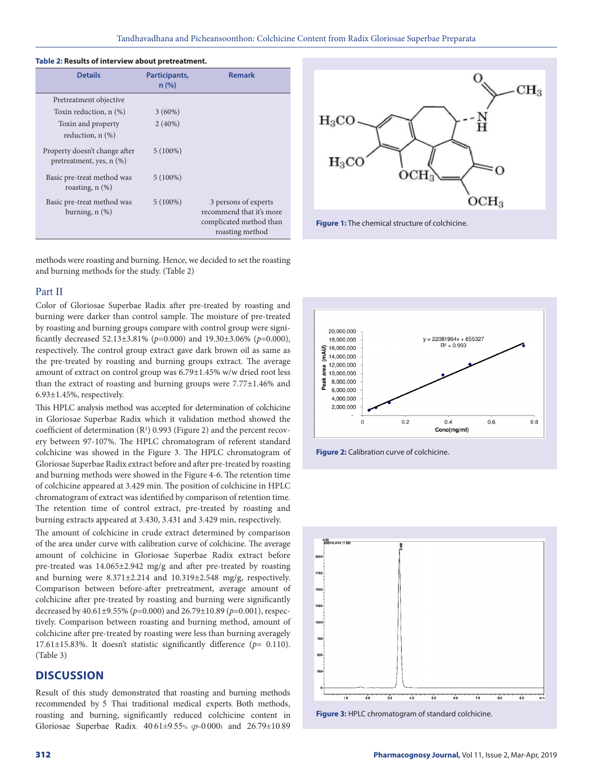| <b>Details</b>                                            | Participants,<br>n(%) | <b>Remark</b>                                                                                  |
|-----------------------------------------------------------|-----------------------|------------------------------------------------------------------------------------------------|
| Pretreatment objective                                    |                       |                                                                                                |
| Toxin reduction, $n$ $(\%)$                               | $3(60\%)$             |                                                                                                |
| Toxin and property<br>reduction, $n$ $(\%)$               | $2(40\%)$             |                                                                                                |
| Property doesn't change after<br>pretreatment, yes, n (%) | $5(100\%)$            |                                                                                                |
| Basic pre-treat method was<br>roasting, $n$ $(\%)$        | $5(100\%)$            |                                                                                                |
| Basic pre-treat method was<br>burning, $n$ $(\%)$         | $5(100\%)$            | 3 persons of experts<br>recommend that it's more<br>complicated method than<br>roasting method |

#### **Table 2: Results of interview about pretreatment.**

methods were roasting and burning. Hence, we decided to set the roasting and burning methods for the study. (Table 2)

#### Part II

Color of Gloriosae Superbae Radix after pre-treated by roasting and burning were darker than control sample. The moisture of pre-treated by roasting and burning groups compare with control group were significantly decreased 52.13±3.81% (*p*=0.000) and 19.30±3.06% (*p*=0.000), respectively. The control group extract gave dark brown oil as same as the pre-treated by roasting and burning groups extract. The average amount of extract on control group was 6.79±1.45% w/w dried root less than the extract of roasting and burning groups were 7.77±1.46% and 6.93±1.45%, respectively.

This HPLC analysis method was accepted for determination of colchicine in Gloriosae Superbae Radix which it validation method showed the coefficient of determination  $(R^2)$  0.993 (Figure 2) and the percent recovery between 97-107%. The HPLC chromatogram of referent standard colchicine was showed in the Figure 3. The HPLC chromatogram of Gloriosae Superbae Radix extract before and after pre-treated by roasting and burning methods were showed in the Figure 4-6. The retention time of colchicine appeared at 3.429 min. The position of colchicine in HPLC chromatogram of extract was identified by comparison of retention time. The retention time of control extract, pre-treated by roasting and burning extracts appeared at 3.430, 3.431 and 3.429 min, respectively.

The amount of colchicine in crude extract determined by comparison of the area under curve with calibration curve of colchicine. The average amount of colchicine in Gloriosae Superbae Radix extract before pre-treated was 14.065±2.942 mg/g and after pre-treated by roasting and burning were 8.371±2.214 and 10.319±2.548 mg/g, respectively. Comparison between before-after pretreatment, average amount of colchicine after pre-treated by roasting and burning were significantly decreased by 40.61±9.55% (*p*=0.000) and 26.79±10.89 (*p*=0.001), respectively. Comparison between roasting and burning method, amount of colchicine after pre-treated by roasting were less than burning averagely 17.61±15.83%. It doesn't statistic significantly difference (*p*= 0.110). (Table 3)

# **DISCUSSION**

Result of this study demonstrated that roasting and burning methods recommended by 5 Thai traditional medical experts. Both methods, roasting and burning, significantly reduced colchicine content in Gloriosae Superbae Radix: 40.61±9.55% (*p*=0.000) and 26.79±10.89









**Figure 3:** HPLC chromatogram of standard colchicine.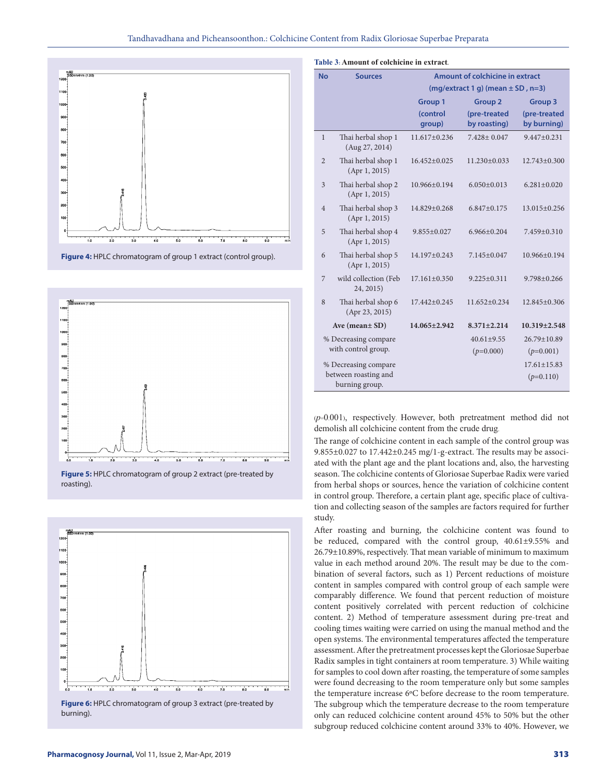

**Figure 4:** HPLC chromatogram of group 1 extract (control group).



**Figure 5:** HPLC chromatogram of group 2 extract (pre-treated by roasting).



burning).

| <b>No</b>            | <b>Sources</b>                         | Amount of colchicine in extract        |                              |                             |  |
|----------------------|----------------------------------------|----------------------------------------|------------------------------|-----------------------------|--|
|                      |                                        | $(mq/extract 1 q)$ (mean $± SD$ , n=3) |                              |                             |  |
|                      |                                        | <b>Group 1</b>                         | <b>Group 2</b>               | <b>Group 3</b>              |  |
|                      |                                        | (control<br>group)                     | (pre-treated<br>by roasting) | (pre-treated<br>by burning) |  |
| 1                    | Thai herbal shop 1<br>(Aug 27, 2014)   | $11.617+0.236$                         | $7.428 + 0.047$              | $9.447 + 0.231$             |  |
| $\overline{2}$       | Thai herbal shop 1<br>(Apr1, 2015)     | $16.452 \pm 0.025$                     | $11.230 \pm 0.033$           | $12.743 \pm 0.300$          |  |
| 3                    | Thai herbal shop 2<br>(Apr1, 2015)     | 10.966±0.194                           | $6.050 \pm 0.013$            | $6.281 \pm 0.020$           |  |
| $\overline{4}$       | Thai herbal shop 3<br>(Apr1, 2015)     | 14.829±0.268                           | $6.847 \pm 0.175$            | 13.015±0.256                |  |
| 5                    | Thai herbal shop 4<br>(Apr1, 2015)     | $9.855 \pm 0.027$                      | $6.966 + 0.204$              | $7.459 + 0.310$             |  |
| 6                    | Thai herbal shop 5<br>(Apr1, 2015)     | 14.197±0.243                           | $7.145 + 0.047$              | $10.966 + 0.194$            |  |
| 7                    | wild collection (Feb<br>24, 2015)      | $17.161 \pm 0.350$                     | $9.225 \pm 0.311$            | $9.798 + 0.266$             |  |
| 8                    | Thai herbal shop 6<br>(Apr 23, 2015)   | 17.442±0.245                           | $11.652+0.234$               | $12.845+0.306$              |  |
|                      | Ave (mean $\pm$ SD)                    | 14.065±2.942                           | $8.371 \pm 2.214$            | $10.319 \pm 2.548$          |  |
|                      | % Decreasing compare                   |                                        | $40.61 + 9.55$               | $26.79 + 10.89$             |  |
|                      | with control group.                    |                                        | $(p=0.000)$                  | $(p=0.001)$                 |  |
| % Decreasing compare |                                        |                                        |                              | $17.61 + 15.83$             |  |
|                      | between roasting and<br>burning group. |                                        |                              | $(p=0.110)$                 |  |

(*p*=0.001), respectively. However, both pretreatment method did not demolish all colchicine content from the crude drug.

The range of colchicine content in each sample of the control group was 9.855±0.027 to 17.442±0.245 mg/1-g-extract. The results may be associated with the plant age and the plant locations and, also, the harvesting season. The colchicine contents of Gloriosae Superbae Radix were varied from herbal shops or sources, hence the variation of colchicine content in control group. Therefore, a certain plant age, specific place of cultivation and collecting season of the samples are factors required for further study.

After roasting and burning, the colchicine content was found to be reduced, compared with the control group, 40.61±9.55% and 26.79±10.89%, respectively. That mean variable of minimum to maximum value in each method around 20%. The result may be due to the combination of several factors, such as 1) Percent reductions of moisture content in samples compared with control group of each sample were comparably difference. We found that percent reduction of moisture content positively correlated with percent reduction of colchicine content. 2) Method of temperature assessment during pre-treat and cooling times waiting were carried on using the manual method and the open systems. The environmental temperatures affected the temperature assessment. After the pretreatment processes kept the Gloriosae Superbae Radix samples in tight containers at room temperature. 3) While waiting for samples to cool down after roasting, the temperature of some samples were found decreasing to the room temperature only but some samples the temperature increase 6ºC before decrease to the room temperature. The subgroup which the temperature decrease to the room temperature only can reduced colchicine content around 45% to 50% but the other subgroup reduced colchicine content around 33% to 40%. However, we